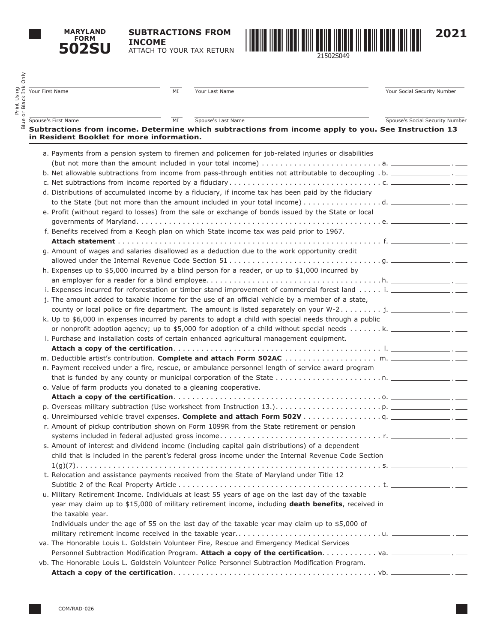**MARYLAND FORM 502SU**

Print Using

**SUBTRACTIONS FROM INCOME** ATTACH TO YOUR TAX RETURN



| Your First Name                                                  | MI | Your Last Name                                                                                                                  | Your Social Security Number     |
|------------------------------------------------------------------|----|---------------------------------------------------------------------------------------------------------------------------------|---------------------------------|
| Spouse's First Name                                              | MI | Spouse's Last Name                                                                                                              | Spouse's Social Security Number |
| in Resident Booklet for more information.                        |    | Subtractions from income. Determine which subtractions from income apply to you. See Instruction 13                             |                                 |
|                                                                  |    | a. Payments from a pension system to firemen and policemen for job-related injuries or disabilities                             |                                 |
|                                                                  |    |                                                                                                                                 |                                 |
|                                                                  |    | b. Net allowable subtractions from income from pass-through entities not attributable to decoupling . b. _______________. _____ |                                 |
|                                                                  |    |                                                                                                                                 |                                 |
|                                                                  |    | d. Distributions of accumulated income by a fiduciary, if income tax has been paid by the fiduciary                             |                                 |
|                                                                  |    | e. Profit (without regard to losses) from the sale or exchange of bonds issued by the State or local                            |                                 |
|                                                                  |    | f. Benefits received from a Keogh plan on which State income tax was paid prior to 1967.                                        |                                 |
|                                                                  |    | g. Amount of wages and salaries disallowed as a deduction due to the work opportunity credit                                    |                                 |
|                                                                  |    |                                                                                                                                 |                                 |
|                                                                  |    | h. Expenses up to \$5,000 incurred by a blind person for a reader, or up to \$1,000 incurred by                                 |                                 |
|                                                                  |    |                                                                                                                                 |                                 |
|                                                                  |    | i. Expenses incurred for reforestation or timber stand improvement of commercial forest land i. __________________.             |                                 |
|                                                                  |    | j. The amount added to taxable income for the use of an official vehicle by a member of a state,                                |                                 |
|                                                                  |    | county or local police or fire department. The amount is listed separately on your W-2 j. _______________.                      |                                 |
|                                                                  |    | k. Up to \$6,000 in expenses incurred by parents to adopt a child with special needs through a public                           |                                 |
|                                                                  |    |                                                                                                                                 |                                 |
|                                                                  |    | I. Purchase and installation costs of certain enhanced agricultural management equipment.                                       |                                 |
|                                                                  |    |                                                                                                                                 |                                 |
|                                                                  |    |                                                                                                                                 |                                 |
|                                                                  |    | n. Payment received under a fire, rescue, or ambulance personnel length of service award program                                |                                 |
|                                                                  |    |                                                                                                                                 |                                 |
| o. Value of farm products you donated to a gleaning cooperative. |    |                                                                                                                                 |                                 |
|                                                                  |    |                                                                                                                                 |                                 |
|                                                                  |    |                                                                                                                                 |                                 |
|                                                                  |    |                                                                                                                                 |                                 |
|                                                                  |    | r. Amount of pickup contribution shown on Form 1099R from the State retirement or pension                                       |                                 |
|                                                                  |    | s. Amount of interest and dividend income (including capital gain distributions) of a dependent                                 |                                 |
|                                                                  |    | child that is included in the parent's federal gross income under the Internal Revenue Code Section                             |                                 |
|                                                                  |    |                                                                                                                                 |                                 |
|                                                                  |    | t. Relocation and assistance payments received from the State of Maryland under Title 12                                        |                                 |
|                                                                  |    |                                                                                                                                 |                                 |
|                                                                  |    | u. Military Retirement Income. Individuals at least 55 years of age on the last day of the taxable                              |                                 |
| the taxable year.                                                |    | year may claim up to \$15,000 of military retirement income, including death benefits, received in                              |                                 |
|                                                                  |    | Individuals under the age of 55 on the last day of the taxable year may claim up to \$5,000 of                                  |                                 |
|                                                                  |    |                                                                                                                                 |                                 |
|                                                                  |    | va. The Honorable Louis L. Goldstein Volunteer Fire, Rescue and Emergency Medical Services                                      |                                 |
|                                                                  |    |                                                                                                                                 |                                 |
|                                                                  |    | vb. The Honorable Louis L. Goldstein Volunteer Police Personnel Subtraction Modification Program.                               |                                 |
|                                                                  |    |                                                                                                                                 |                                 |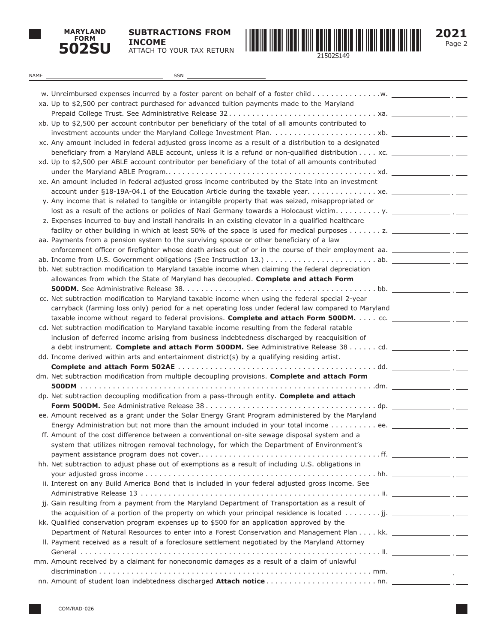

**SUBTRACTIONS FROM INCOME** ATTACH TO YOUR TAX RETURN



Page 2 **2021**

| NAME | <b>SSN</b>                                                                                                                 |  |
|------|----------------------------------------------------------------------------------------------------------------------------|--|
|      |                                                                                                                            |  |
|      |                                                                                                                            |  |
|      | xa. Up to \$2,500 per contract purchased for advanced tuition payments made to the Maryland                                |  |
|      | xb. Up to \$2,500 per account contributor per beneficiary of the total of all amounts contributed to                       |  |
|      |                                                                                                                            |  |
|      | xc. Any amount included in federal adjusted gross income as a result of a distribution to a designated                     |  |
|      |                                                                                                                            |  |
|      | xd. Up to \$2,500 per ABLE account contributor per beneficiary of the total of all amounts contributed                     |  |
|      |                                                                                                                            |  |
|      | xe. An amount included in federal adjusted gross income contributed by the State into an investment                        |  |
|      | account under §18-19A-04.1 of the Education Article during the taxable year. $\dots \dots \dots \dots$ xe. $\_\_$          |  |
|      | y. Any income that is related to tangible or intangible property that was seized, misappropriated or                       |  |
|      |                                                                                                                            |  |
|      | z. Expenses incurred to buy and install handrails in an existing elevator in a qualified healthcare                        |  |
|      | facility or other building in which at least 50% of the space is used for medical purposes z. ____________________ . _____ |  |
|      | aa. Payments from a pension system to the surviving spouse or other beneficiary of a law                                   |  |
|      | enforcement officer or firefighter whose death arises out of or in the course of their employment aa. _________________.   |  |
|      | bb. Net subtraction modification to Maryland taxable income when claiming the federal depreciation                         |  |
|      | allowances from which the State of Maryland has decoupled. Complete and attach Form                                        |  |
|      |                                                                                                                            |  |
|      | cc. Net subtraction modification to Maryland taxable income when using the federal special 2-year                          |  |
|      | carryback (farming loss only) period for a net operating loss under federal law compared to Maryland                       |  |
|      |                                                                                                                            |  |
|      | cd. Net subtraction modification to Maryland taxable income resulting from the federal ratable                             |  |
|      | inclusion of deferred income arising from business indebtedness discharged by reacquisition of                             |  |
|      | a debt instrument. Complete and attach Form 500DM. See Administrative Release 38 cd. __________________.                   |  |
|      | dd. Income derived within arts and entertainment district(s) by a qualifying residing artist.                              |  |
|      |                                                                                                                            |  |
|      | dm. Net subtraction modification from multiple decoupling provisions. Complete and attach Form                             |  |
|      |                                                                                                                            |  |
|      | dp. Net subtraction decoupling modification from a pass-through entity. Complete and attach                                |  |
|      |                                                                                                                            |  |
|      | ee. Amount received as a grant under the Solar Energy Grant Program administered by the Maryland                           |  |
|      |                                                                                                                            |  |
|      | ff. Amount of the cost difference between a conventional on-site sewage disposal system and a                              |  |
|      | system that utilizes nitrogen removal technology, for which the Department of Environment's                                |  |
|      | hh. Net subtraction to adjust phase out of exemptions as a result of including U.S. obligations in                         |  |
|      |                                                                                                                            |  |
|      | ii. Interest on any Build America Bond that is included in your federal adjusted gross income. See                         |  |
|      |                                                                                                                            |  |
|      | jj. Gain resulting from a payment from the Maryland Department of Transportation as a result of                            |  |
|      | the acquisition of a portion of the property on which your principal residence is located $\dots \dots$ ji.                |  |
|      | kk. Qualified conservation program expenses up to \$500 for an application approved by the                                 |  |
|      |                                                                                                                            |  |
|      | II. Payment received as a result of a foreclosure settlement negotiated by the Maryland Attorney                           |  |
|      |                                                                                                                            |  |
|      | mm. Amount received by a claimant for noneconomic damages as a result of a claim of unlawful                               |  |
|      |                                                                                                                            |  |
|      |                                                                                                                            |  |